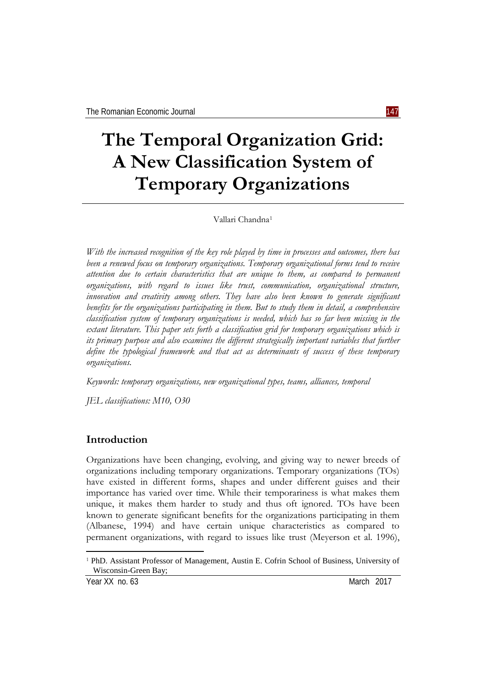# **The Temporal Organization Grid: A New Classification System of Temporary Organizations**

Vallari Chandna[1](#page-0-0)

*With the increased recognition of the key role played by time in processes and outcomes, there has been a renewed focus on temporary organizations. Temporary organizational forms tend to receive attention due to certain characteristics that are unique to them, as compared to permanent organizations, with regard to issues like trust, communication, organizational structure, innovation and creativity among others. They have also been known to generate significant benefits for the organizations participating in them. But to study them in detail, a comprehensive classification system of temporary organizations is needed, which has so far been missing in the extant literature. This paper sets forth a classification grid for temporary organizations which is its primary purpose and also examines the different strategically important variables that further define the typological framework and that act as determinants of success of these temporary organizations.*

*Keywords: temporary organizations, new organizational types, teams, alliances, temporal*

*JEL classifications: M10, O30*

## **Introduction**

Organizations have been changing, evolving, and giving way to newer breeds of organizations including temporary organizations. Temporary organizations (TOs) have existed in different forms, shapes and under different guises and their importance has varied over time. While their temporariness is what makes them unique, it makes them harder to study and thus oft ignored. TOs have been known to generate significant benefits for the organizations participating in them (Albanese, 1994) and have certain unique characteristics as compared to permanent organizations, with regard to issues like trust (Meyerson et al. 1996),

 $\overline{a}$ 

<span id="page-0-0"></span><sup>1</sup> PhD. Assistant Professor of Management, Austin E. Cofrin School of Business, University of Wisconsin-Green Bay;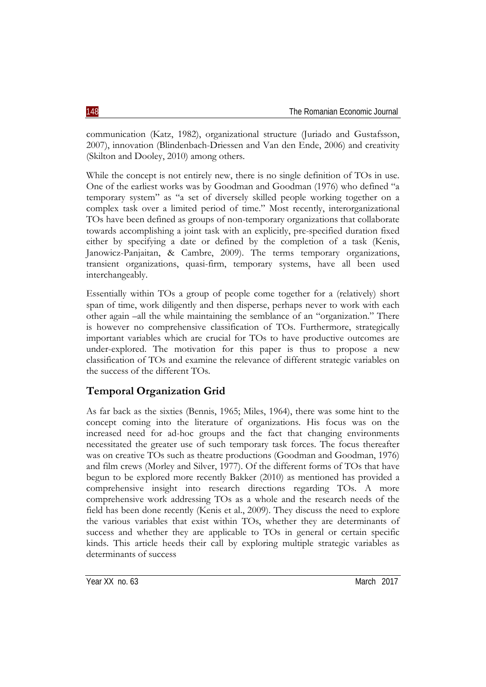communication (Katz, 1982), organizational structure (Juriado and Gustafsson, 2007), innovation (Blindenbach-Driessen and Van den Ende, 2006) and creativity (Skilton and Dooley, 2010) among others.

While the concept is not entirely new, there is no single definition of TOs in use. One of the earliest works was by Goodman and Goodman (1976) who defined "a temporary system" as "a set of diversely skilled people working together on a complex task over a limited period of time." Most recently, interorganizational TOs have been defined as groups of non-temporary organizations that collaborate towards accomplishing a joint task with an explicitly, pre-specified duration fixed either by specifying a date or defined by the completion of a task (Kenis, Janowicz-Panjaitan, & Cambre, 2009). The terms temporary organizations, transient organizations, quasi-firm, temporary systems, have all been used interchangeably.

Essentially within TOs a group of people come together for a (relatively) short span of time, work diligently and then disperse, perhaps never to work with each other again –all the while maintaining the semblance of an "organization." There is however no comprehensive classification of TOs. Furthermore, strategically important variables which are crucial for TOs to have productive outcomes are under-explored. The motivation for this paper is thus to propose a new classification of TOs and examine the relevance of different strategic variables on the success of the different TOs.

# **Temporal Organization Grid**

As far back as the sixties (Bennis, 1965; Miles, 1964), there was some hint to the concept coming into the literature of organizations. His focus was on the increased need for ad-hoc groups and the fact that changing environments necessitated the greater use of such temporary task forces. The focus thereafter was on creative TOs such as theatre productions (Goodman and Goodman, 1976) and film crews (Morley and Silver, 1977). Of the different forms of TOs that have begun to be explored more recently Bakker (2010) as mentioned has provided a comprehensive insight into research directions regarding TOs. A more comprehensive work addressing TOs as a whole and the research needs of the field has been done recently (Kenis et al., 2009). They discuss the need to explore the various variables that exist within TOs, whether they are determinants of success and whether they are applicable to TOs in general or certain specific kinds. This article heeds their call by exploring multiple strategic variables as determinants of success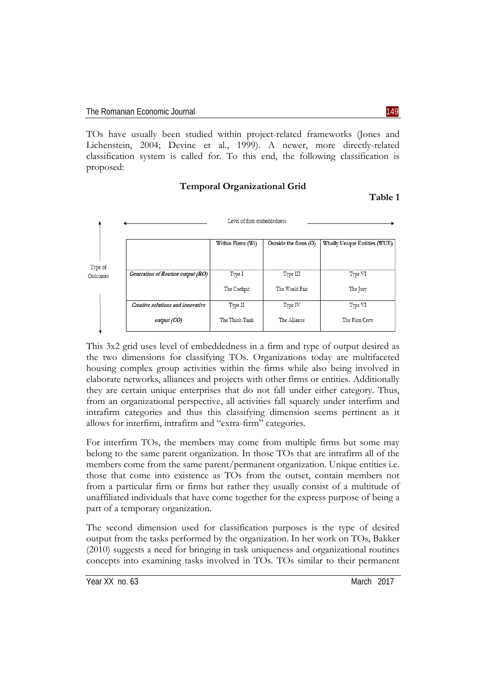TOs have usually been studied within project-related frameworks (Jones and Lichenstein, 2004; Devine et al., 1999). A newer, more directly-related classification system is called for. To this end, the following classification is proposed:

#### **Temporal Organizational Grid**

**Table 1**



This 3x2 grid uses level of embeddedness in a firm and type of output desired as the two dimensions for classifying TOs. Organizations today are multifaceted housing complex group activities within the firms while also being involved in elaborate networks, alliances and projects with other firms or entities. Additionally they are certain unique enterprises that do not fall under either category. Thus, from an organizational perspective, all activities fall squarely under interfirm and intrafirm categories and thus this classifying dimension seems pertinent as it allows for interfirm, intrafirm and "extra-firm" categories.

For interfirm TOs, the members may come from multiple firms but some may belong to the same parent organization. In those TOs that are intrafirm all of the members come from the same parent/permanent organization. Unique entities i.e. those that come into existence as TOs from the outset, contain members not from a particular firm or firms but rather they usually consist of a multitude of unaffiliated individuals that have come together for the express purpose of being a part of a temporary organization.

The second dimension used for classification purposes is the type of desired output from the tasks performed by the organization. In her work on TOs, Bakker (2010) suggests a need for bringing in task uniqueness and organizational routines concepts into examining tasks involved in TOs. TOs similar to their permanent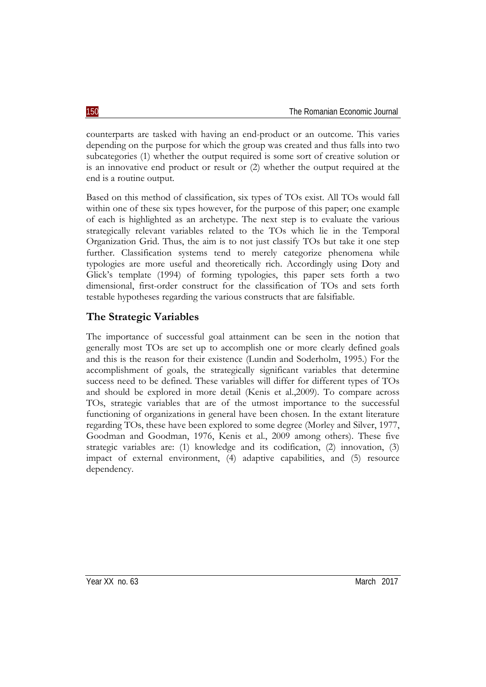counterparts are tasked with having an end-product or an outcome. This varies depending on the purpose for which the group was created and thus falls into two subcategories (1) whether the output required is some sort of creative solution or is an innovative end product or result or (2) whether the output required at the end is a routine output.

Based on this method of classification, six types of TOs exist. All TOs would fall within one of these six types however, for the purpose of this paper; one example of each is highlighted as an archetype. The next step is to evaluate the various strategically relevant variables related to the TOs which lie in the Temporal Organization Grid. Thus, the aim is to not just classify TOs but take it one step further. Classification systems tend to merely categorize phenomena while typologies are more useful and theoretically rich. Accordingly using Doty and Glick's template (1994) of forming typologies, this paper sets forth a two dimensional, first-order construct for the classification of TOs and sets forth testable hypotheses regarding the various constructs that are falsifiable.

## **The Strategic Variables**

The importance of successful goal attainment can be seen in the notion that generally most TOs are set up to accomplish one or more clearly defined goals and this is the reason for their existence (Lundin and Soderholm, 1995.) For the accomplishment of goals, the strategically significant variables that determine success need to be defined. These variables will differ for different types of TOs and should be explored in more detail (Kenis et al.,2009). To compare across TOs, strategic variables that are of the utmost importance to the successful functioning of organizations in general have been chosen. In the extant literature regarding TOs, these have been explored to some degree (Morley and Silver, 1977, Goodman and Goodman, 1976, Kenis et al., 2009 among others). These five strategic variables are: (1) knowledge and its codification, (2) innovation, (3) impact of external environment, (4) adaptive capabilities, and (5) resource dependency.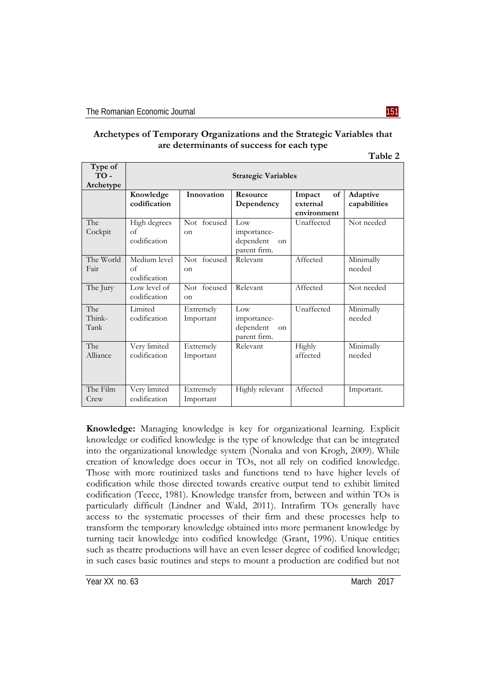|--|

| Archetypes of Temporary Organizations and the Strategic Variables that |  |
|------------------------------------------------------------------------|--|
| are determinants of success for each type                              |  |

| D<br>. .<br>н<br>и |
|--------------------|
|--------------------|

| Type of<br>$TO -$<br>Archetype | <b>Strategic Variables</b>                 |                         |                                                       |                                         |                          |  |  |
|--------------------------------|--------------------------------------------|-------------------------|-------------------------------------------------------|-----------------------------------------|--------------------------|--|--|
|                                | Knowledge<br>codification                  | Innovation              | <b>Resource</b><br>Dependency                         | of<br>Impact<br>external<br>environment | Adaptive<br>capabilities |  |  |
| The<br>Cockpit                 | High degrees<br>$\alpha$ f<br>codification | Not focused<br>$\alpha$ | Low<br>importance-<br>dependent<br>on<br>parent firm. | Unaffected                              | Not needed               |  |  |
| The World<br>Fair              | Medium level<br>$\alpha$ f<br>codification | Not focused<br>on       | Relevant                                              | Affected                                | Minimally<br>needed      |  |  |
| The Jury                       | Low level of<br>codification               | Not focused<br>$\alpha$ | Relevant                                              | Affected                                | Not needed               |  |  |
| The<br>Think-<br>Tank          | Limited<br>codification                    | Extremely<br>Important  | Low<br>importance-<br>dependent<br>on<br>parent firm. | Unaffected                              | Minimally<br>needed      |  |  |
| The<br>Alliance                | Very limited<br>codification               | Extremely<br>Important  | Relevant                                              | Highly<br>affected                      | Minimally<br>needed      |  |  |
| The Film<br>Crew               | Very limited<br>codification               | Extremely<br>Important  | Highly relevant                                       | Affected                                | Important.               |  |  |

**Knowledge:** Managing knowledge is key for organizational learning. Explicit knowledge or codified knowledge is the type of knowledge that can be integrated into the organizational knowledge system (Nonaka and von Krogh, 2009). While creation of knowledge does occur in TOs, not all rely on codified knowledge. Those with more routinized tasks and functions tend to have higher levels of codification while those directed towards creative output tend to exhibit limited codification (Teece, 1981). Knowledge transfer from, between and within TOs is particularly difficult (Lindner and Wald, 2011). Intrafirm TOs generally have access to the systematic processes of their firm and these processes help to transform the temporary knowledge obtained into more permanent knowledge by turning tacit knowledge into codified knowledge (Grant, 1996). Unique entities such as theatre productions will have an even lesser degree of codified knowledge; in such cases basic routines and steps to mount a production are codified but not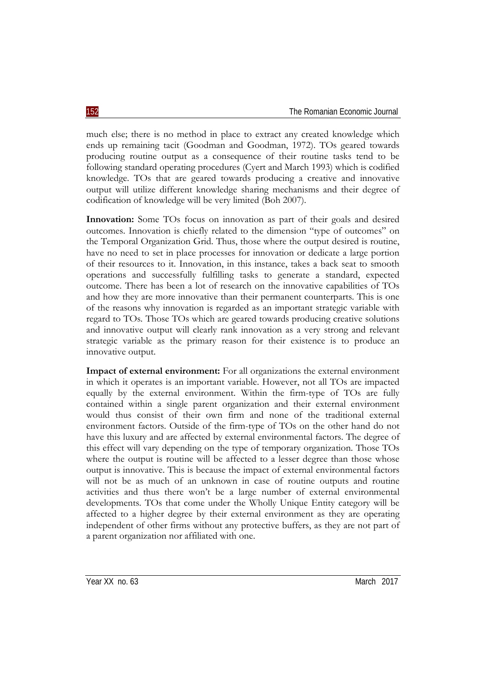much else; there is no method in place to extract any created knowledge which ends up remaining tacit (Goodman and Goodman, 1972). TOs geared towards producing routine output as a consequence of their routine tasks tend to be following standard operating procedures (Cyert and March 1993) which is codified knowledge. TOs that are geared towards producing a creative and innovative output will utilize different knowledge sharing mechanisms and their degree of codification of knowledge will be very limited (Boh 2007).

**Innovation:** Some TOs focus on innovation as part of their goals and desired outcomes. Innovation is chiefly related to the dimension "type of outcomes" on the Temporal Organization Grid. Thus, those where the output desired is routine, have no need to set in place processes for innovation or dedicate a large portion of their resources to it. Innovation, in this instance, takes a back seat to smooth operations and successfully fulfilling tasks to generate a standard, expected outcome. There has been a lot of research on the innovative capabilities of TOs and how they are more innovative than their permanent counterparts. This is one of the reasons why innovation is regarded as an important strategic variable with regard to TOs. Those TOs which are geared towards producing creative solutions and innovative output will clearly rank innovation as a very strong and relevant strategic variable as the primary reason for their existence is to produce an innovative output.

**Impact of external environment:** For all organizations the external environment in which it operates is an important variable. However, not all TOs are impacted equally by the external environment. Within the firm-type of TOs are fully contained within a single parent organization and their external environment would thus consist of their own firm and none of the traditional external environment factors. Outside of the firm-type of TOs on the other hand do not have this luxury and are affected by external environmental factors. The degree of this effect will vary depending on the type of temporary organization. Those TOs where the output is routine will be affected to a lesser degree than those whose output is innovative. This is because the impact of external environmental factors will not be as much of an unknown in case of routine outputs and routine activities and thus there won't be a large number of external environmental developments. TOs that come under the Wholly Unique Entity category will be affected to a higher degree by their external environment as they are operating independent of other firms without any protective buffers, as they are not part of a parent organization nor affiliated with one.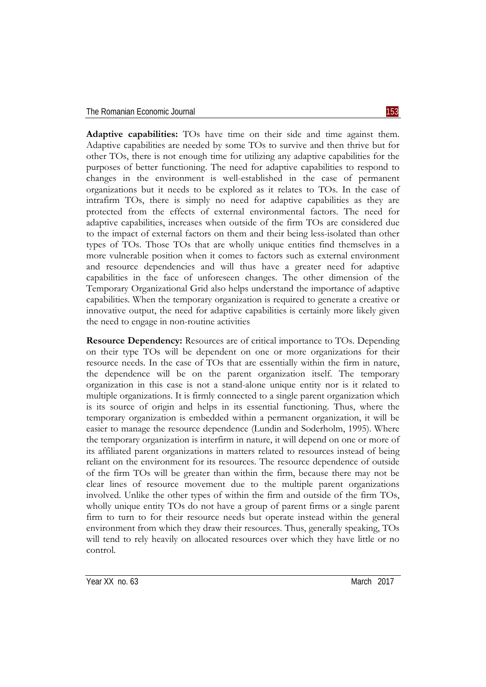**Adaptive capabilities:** TOs have time on their side and time against them. Adaptive capabilities are needed by some TOs to survive and then thrive but for other TOs, there is not enough time for utilizing any adaptive capabilities for the purposes of better functioning. The need for adaptive capabilities to respond to changes in the environment is well-established in the case of permanent organizations but it needs to be explored as it relates to TOs. In the case of intrafirm TOs, there is simply no need for adaptive capabilities as they are protected from the effects of external environmental factors. The need for adaptive capabilities, increases when outside of the firm TOs are considered due to the impact of external factors on them and their being less-isolated than other types of TOs. Those TOs that are wholly unique entities find themselves in a more vulnerable position when it comes to factors such as external environment and resource dependencies and will thus have a greater need for adaptive capabilities in the face of unforeseen changes. The other dimension of the Temporary Organizational Grid also helps understand the importance of adaptive capabilities. When the temporary organization is required to generate a creative or innovative output, the need for adaptive capabilities is certainly more likely given the need to engage in non-routine activities

**Resource Dependency:** Resources are of critical importance to TOs. Depending on their type TOs will be dependent on one or more organizations for their resource needs. In the case of TOs that are essentially within the firm in nature, the dependence will be on the parent organization itself. The temporary organization in this case is not a stand-alone unique entity nor is it related to multiple organizations. It is firmly connected to a single parent organization which is its source of origin and helps in its essential functioning. Thus, where the temporary organization is embedded within a permanent organization, it will be easier to manage the resource dependence (Lundin and Soderholm, 1995). Where the temporary organization is interfirm in nature, it will depend on one or more of its affiliated parent organizations in matters related to resources instead of being reliant on the environment for its resources. The resource dependence of outside of the firm TOs will be greater than within the firm, because there may not be clear lines of resource movement due to the multiple parent organizations involved. Unlike the other types of within the firm and outside of the firm TOs, wholly unique entity TOs do not have a group of parent firms or a single parent firm to turn to for their resource needs but operate instead within the general environment from which they draw their resources. Thus, generally speaking, TOs will tend to rely heavily on allocated resources over which they have little or no control.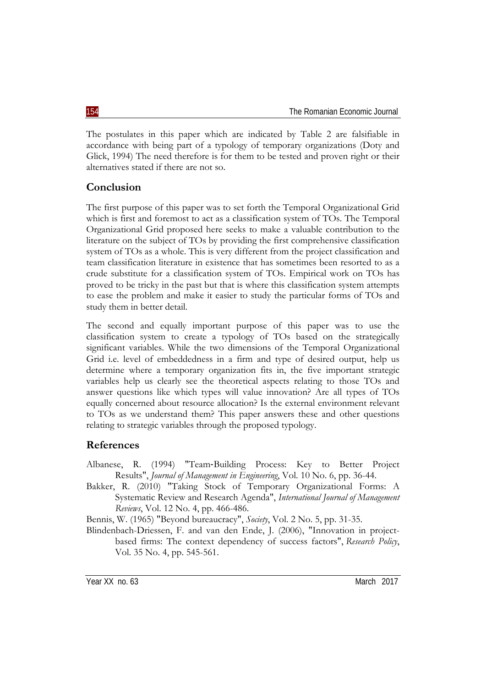The postulates in this paper which are indicated by Table 2 are falsifiable in accordance with being part of a typology of temporary organizations (Doty and Glick, 1994) The need therefore is for them to be tested and proven right or their alternatives stated if there are not so.

## **Conclusion**

The first purpose of this paper was to set forth the Temporal Organizational Grid which is first and foremost to act as a classification system of TOs. The Temporal Organizational Grid proposed here seeks to make a valuable contribution to the literature on the subject of TOs by providing the first comprehensive classification system of TOs as a whole. This is very different from the project classification and team classification literature in existence that has sometimes been resorted to as a crude substitute for a classification system of TOs. Empirical work on TOs has proved to be tricky in the past but that is where this classification system attempts to ease the problem and make it easier to study the particular forms of TOs and study them in better detail.

The second and equally important purpose of this paper was to use the classification system to create a typology of TOs based on the strategically significant variables. While the two dimensions of the Temporal Organizational Grid i.e. level of embeddedness in a firm and type of desired output, help us determine where a temporary organization fits in, the five important strategic variables help us clearly see the theoretical aspects relating to those TOs and answer questions like which types will value innovation? Are all types of TOs equally concerned about resource allocation? Is the external environment relevant to TOs as we understand them? This paper answers these and other questions relating to strategic variables through the proposed typology.

## **References**

- Albanese, R. (1994) "Team‐Building Process: Key to Better Project Results", *Journal of Management in Engineering*, Vol. 10 No. 6, pp. 36-44.
- Bakker, R. (2010) "Taking Stock of Temporary Organizational Forms: A Systematic Review and Research Agenda", *International Journal of Management Reviews*, Vol. 12 No. 4, pp. 466-486.

Bennis, W. (1965) "Beyond bureaucracy", *Society*, Vol. 2 No. 5, pp. 31-35.

Blindenbach-Driessen, F. and van den Ende, J. (2006), "Innovation in projectbased firms: The context dependency of success factors", *Research Policy*, Vol. 35 No. 4, pp. 545-561.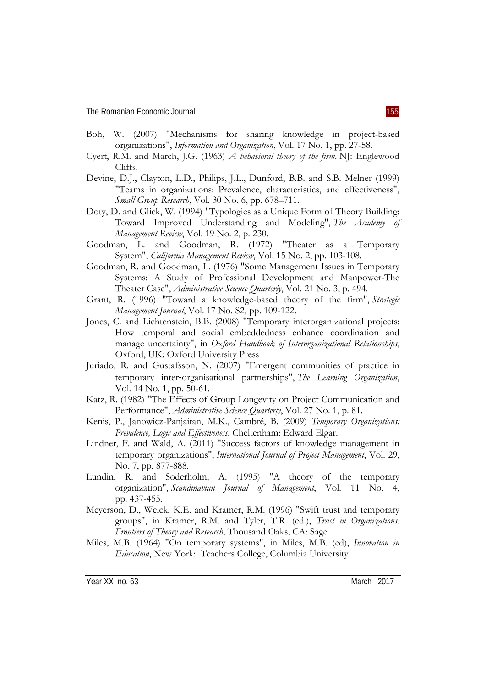- Boh, W. (2007) "Mechanisms for sharing knowledge in project-based organizations", *Information and Organization*, Vol. 17 No. 1, pp. 27-58.
- Cyert, R.M. and March, J.G. (1963) *A behavioral theory of the firm*. NJ: Englewood Cliffs.
- Devine, D.J., Clayton, L.D., Philips, J.L., Dunford, B.B. and S.B. Melner (1999) "Teams in organizations: Prevalence, characteristics, and effectiveness", *Small Group Research*, Vol. 30 No. 6, pp. 678–711.
- Doty, D. and Glick, W. (1994) "Typologies as a Unique Form of Theory Building: Toward Improved Understanding and Modeling", *The Academy of Management Review*, Vol. 19 No. 2, p. 230.
- Goodman, L. and Goodman, R. (1972) "Theater as a Temporary System", *California Management Review*, Vol. 15 No. 2, pp. 103-108.
- Goodman, R. and Goodman, L. (1976) "Some Management Issues in Temporary Systems: A Study of Professional Development and Manpower-The Theater Case", *Administrative Science Quarterly*, Vol. 21 No. 3, p. 494.
- Grant, R. (1996) "Toward a knowledge-based theory of the firm", *Strategic Management Journal*, Vol. 17 No. S2, pp. 109-122.
- Jones, C. and Lichtenstein, B.B. (2008) "Temporary interorganizational projects: How temporal and social embeddedness enhance coordination and manage uncertainty", in *Oxford Handbook of Interorganizational Relationships*, Oxford, UK: Oxford University Press
- Juriado, R. and Gustafsson, N. (2007) "Emergent communities of practice in temporary inter‐organisational partnerships", *The Learning Organization*, Vol. 14 No. 1, pp. 50-61.
- Katz, R. (1982) "The Effects of Group Longevity on Project Communication and Performance", *Administrative Science Quarterly*, Vol. 27 No. 1, p. 81.
- Kenis, P., Janowicz-Panjaitan, M.K., Cambré, B. (2009) *Temporary Organizations: Prevalence, Logic and Effectiveness*. Cheltenham: Edward Elgar.
- Lindner, F. and Wald, A. (2011) "Success factors of knowledge management in temporary organizations", *International Journal of Project Management*, Vol. 29, No. 7, pp. 877-888.
- Lundin, R. and Söderholm, A. (1995) "A theory of the temporary organization", *Scandinavian Journal of Management*, Vol. 11 No. 4, pp. 437-455.
- Meyerson, D., Weick, K.E. and Kramer, R.M. (1996) "Swift trust and temporary groups", in Kramer, R.M. and Tyler, T.R. (ed.), *Trust in Organizations: Frontiers of Theory and Research*, Thousand Oaks, CA: Sage
- Miles, M.B. (1964) "On temporary systems", in Miles, M.B. (ed), *Innovation in Education*, New York: Teachers College, Columbia University.

Year XX no. 63 March 2017